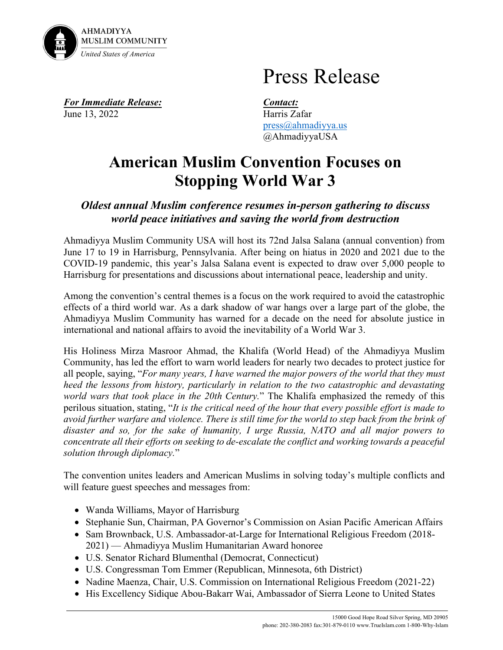

## Press Release

*For Immediate Release: Contact:* June 13, 2022 Harris Zafar

[press@ahmadiyya.us](mailto:press@ahmadiyya.us) @AhmadiyyaUSA

## **American Muslim Convention Focuses on Stopping World War 3**

## *Oldest annual Muslim conference resumes in-person gathering to discuss world peace initiatives and saving the world from destruction*

Ahmadiyya Muslim Community USA will host its 72nd Jalsa Salana (annual convention) from June 17 to 19 in Harrisburg, Pennsylvania. After being on hiatus in 2020 and 2021 due to the COVID-19 pandemic, this year's Jalsa Salana event is expected to draw over 5,000 people to Harrisburg for presentations and discussions about international peace, leadership and unity.

Among the convention's central themes is a focus on the work required to avoid the catastrophic effects of a third world war. As a dark shadow of war hangs over a large part of the globe, the Ahmadiyya Muslim Community has warned for a decade on the need for absolute justice in international and national affairs to avoid the inevitability of a World War 3.

His Holiness Mirza Masroor Ahmad, the Khalifa (World Head) of the Ahmadiyya Muslim Community, has led the effort to warn world leaders for nearly two decades to protect justice for all people, saying, "*For many years, I have warned the major powers of the world that they must heed the lessons from history, particularly in relation to the two catastrophic and devastating world wars that took place in the 20th Century.*" The Khalifa emphasized the remedy of this perilous situation, stating, "*It is the critical need of the hour that every possible effort is made to avoid further warfare and violence. There is still time for the world to step back from the brink of disaster and so, for the sake of humanity, I urge Russia, NATO and all major powers to concentrate all their efforts on seeking to de-escalate the conflict and working towards a peaceful solution through diplomacy.*"

The convention unites leaders and American Muslims in solving today's multiple conflicts and will feature guest speeches and messages from:

- Wanda Williams, Mayor of Harrisburg
- Stephanie Sun, Chairman, PA Governor's Commission on Asian Pacific American Affairs
- Sam Brownback, U.S. Ambassador-at-Large for International Religious Freedom (2018- 2021) — Ahmadiyya Muslim Humanitarian Award honoree
- U.S. Senator Richard Blumenthal (Democrat, Connecticut)
- U.S. Congressman Tom Emmer (Republican, Minnesota, 6th District)
- Nadine Maenza, Chair, U.S. Commission on International Religious Freedom (2021-22)
- His Excellency Sidique Abou-Bakarr Wai, Ambassador of Sierra Leone to United States